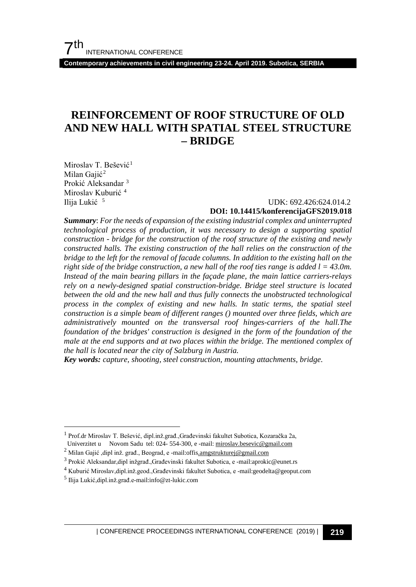**Contemporary achievements in civil engineering 23-24. April 2019. Subotica, SERBIA**

## **REINFORCEMENT OF ROOF STRUCTURE OF OLD AND NEW HALL WITH SPATIAL STEEL STRUCTURE – BRIDGE**

Miroslav T. Bešević<sup>[1](#page-0-0)</sup> Milan Gajić<sup>[2](#page-0-1)</sup> Prokić Aleksandar<sup>[3](#page-0-2)</sup> Miroslav Kuburić<sup>[4](#page-0-3)</sup><br>Ilija Lukić<sup>5</sup>

#### UDK: 692.426:624.014.2 **DOI: 10.14415/konferencijaGFS2019.018**

*Summary*: *For the needs of expansion of the existing industrial complex and uninterrupted technological process of production, it was necessary to design a supporting spatial construction - bridge for the construction of the roof structure of the existing and newly constructed halls. The existing construction of the hall relies on the construction of the bridge to the left for the removal of facade columns. In addition to the existing hall on the right side of the bridge construction, a new hall of the roof ties range is added l = 43.0m. Instead of the main bearing pillars in the façade plane, the main lattice carriers-relays rely on a newly-designed spatial construction-bridge. Bridge steel structure is located between the old and the new hall and thus fully connects the unobstructed technological process in the complex of existing and new halls. In static terms, the spatial steel construction is a simple beam of different ranges () mounted over three fields, which are administratively mounted on the transversal roof hinges-carriers of the hall.The foundation of the bridges' construction is designed in the form of the foundation of the male at the end supports and at two places within the bridge. The mentioned complex of the hall is located near the city of Salzburg in Austria.*

*Key words: capture, shooting, steel construction, mounting attachments, bridge.*

<span id="page-0-0"></span><sup>&</sup>lt;sup>1</sup> Prof.dr Miroslav T. Bešević, dipl.inž.građ.,Građevinski fakultet Subotica, Kozaračka 2a, Univerzitet u Novom Sadu tel: 024- 554-300, e -mail: miroslav.besevic@gmail.com

<span id="page-0-1"></span><sup>&</sup>lt;sup>2</sup> Milan Gajić ,dipl inž. građ., Beograd, e -mail: offi[s.amgstrukturej@gmail.com](mailto:.amgstrukturej@gmail.com)

<span id="page-0-2"></span><sup>3</sup> Prokić Aleksandar,dipl inžgrađ.,Građevinski fakultet Subotica, e -mail:aprokic@eunet.rs

<span id="page-0-3"></span><sup>4</sup> Kuburić Miroslav,dipl.inž.geod.,Građevinski fakultet Subotica, e -mail:geodelta@geoput.com

<span id="page-0-4"></span><sup>5</sup> Ilija Lukić,dipl.inž.građ.e-mail:info@zt-lukic.com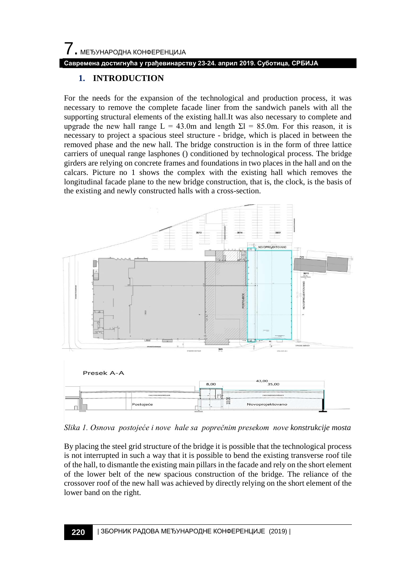#### **Савремена достигнућа у грађевинарству 23-24. април 2019. Суботица, СРБИЈА**

### **1. INTRODUCTION**

For the needs for the expansion of the technological and production process, it was necessary to remove the complete facade liner from the sandwich panels with all the supporting structural elements of the existing hall.It was also necessary to complete and upgrade the new hall range L = 43.0m and length  $\Sigma$ l = 85.0m. For this reason, it is necessary to project a spacious steel structure - bridge, which is placed in between the removed phase and the new hall. The bridge construction is in the form of three lattice carriers of unequal range lasphones () conditioned by technological process. The bridge girders are relying on concrete frames and foundations in two places in the hall and on the calcars. Picture no 1 shows the complex with the existing hall which removes the longitudinal facade plane to the new bridge construction, that is, the clock, is the basis of the existing and newly constructed halls with a cross-section.



*Slika 1. Osnova postojeće i nove hale sa poprečnim presekom nove konstrukcije mosta*

By placing the steel grid structure of the bridge it is possible that the technological process is not interrupted in such a way that it is possible to bend the existing transverse roof tile of the hall, to dismantle the existing main pillars in the facade and rely on the short element of the lower belt of the new spacious construction of the bridge. The reliance of the crossover roof of the new hall was achieved by directly relying on the short element of the lower band on the right.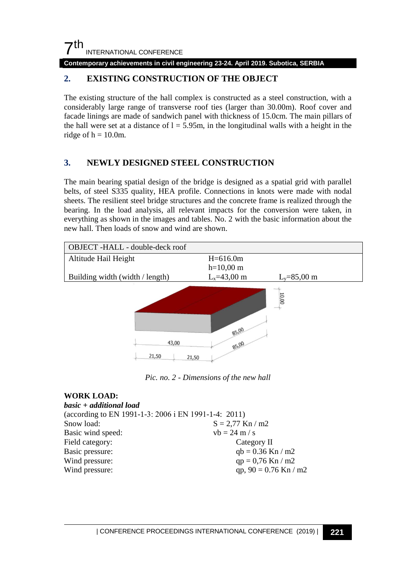## $7<sup>th</sup>$ INTERNATIONAL CONFERENCE

**Contemporary achievements in civil engineering 23-24. April 2019. Subotica, SERBIA**

## **2. EXISTING CONSTRUCTION OF THE OBJECT**

The existing structure of the hall complex is constructed as a steel construction, with a considerably large range of transverse roof ties (larger than 30.00m). Roof cover and facade linings are made of sandwich panel with thickness of 15.0cm. The main pillars of the hall were set at a distance of  $l = 5.95m$ , in the longitudinal walls with a height in the ridge of  $h = 10.0$ m.

## **3. NEWLY DESIGNED STEEL CONSTRUCTION**

The main bearing spatial design of the bridge is designed as a spatial grid with parallel belts, of steel S335 quality, HEA profile. Connections in knots were made with nodal sheets. The resilient steel bridge structures and the concrete frame is realized through the bearing. In the load analysis, all relevant impacts for the conversion were taken, in everything as shown in the images and tables. No. 2 with the basic information about the new hall. Then loads of snow and wind are shown.



*Pic. no. 2 - Dimensions of the new hall*

#### **WORK LOAD:**

| basic + additional load                              |                         |
|------------------------------------------------------|-------------------------|
| (according to EN 1991-1-3: 2006 i EN 1991-1-4: 2011) |                         |
| Snow load:                                           | $S = 2.77$ Kn / m2      |
| Basic wind speed:                                    | $vb = 24 m/s$           |
| Field category:                                      | Category II             |
| Basic pressure:                                      | $qb = 0.36$ Kn / m2     |
| Wind pressure:                                       | $qp = 0.76$ Kn / m2     |
| Wind pressure:                                       | qp, $90 = 0.76$ Kn / m2 |
|                                                      |                         |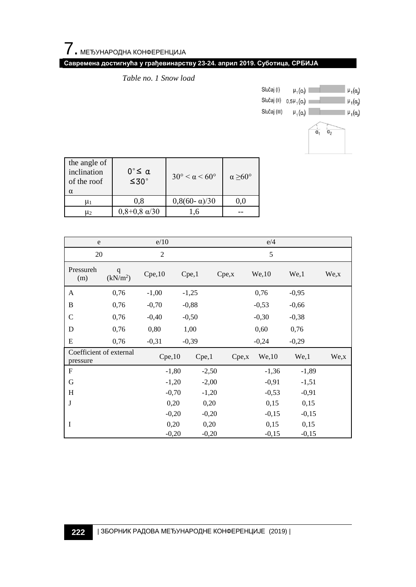## **Савремена достигнућа у грађевинарству 23-24. април 2019. Суботица, СРБИЈА**

*Table no. 1 Snow load*



| the angle of<br>inclination<br>of the roof<br>$\alpha$ | 0°≤ α<br>$\leq 30^{\circ}$ | $30^\circ \leq \alpha \leq 60^\circ$ | $\alpha > 60^{\circ}$ |  |
|--------------------------------------------------------|----------------------------|--------------------------------------|-----------------------|--|
| u۱                                                     | 0.8                        | $0,8(60-\alpha)/30$                  | 0.0                   |  |
| U۶                                                     | $0,8+0,8 \alpha/30$        |                                      |                       |  |

| e/10<br>e                           |                                     |                |         | e/4     |        |         |         |         |      |  |
|-------------------------------------|-------------------------------------|----------------|---------|---------|--------|---------|---------|---------|------|--|
| 20                                  |                                     | $\overline{c}$ |         |         | 5      |         |         |         |      |  |
| Pressureh<br>(m)                    | $\mathbf q$<br>(kN/m <sup>2</sup> ) | Cpe, 10        | Cpe,1   |         | Cpe, x |         | We, 10  | We,1    | We,x |  |
| A                                   | 0,76                                | $-1,00$        | $-1,25$ |         |        |         | 0,76    | $-0,95$ |      |  |
| B                                   | 0,76                                | $-0,70$        | $-0,88$ |         |        |         | $-0,53$ | $-0,66$ |      |  |
| $\mathcal{C}$                       | 0.76                                | $-0,40$        | $-0,50$ |         |        |         | $-0,30$ | $-0,38$ |      |  |
| D                                   | 0,76                                | 0,80           | 1,00    |         |        |         | 0,60    | 0,76    |      |  |
| E                                   | 0,76                                | $-0,31$        | $-0,39$ |         |        |         | $-0,24$ | $-0,29$ |      |  |
| Coefficient of external<br>pressure |                                     | Cpe, 10        |         | Cpe,1   |        | Cpe, x  | We, 10  | We,1    | We,x |  |
| F                                   |                                     |                | $-1,80$ | $-2,50$ |        |         | $-1,36$ | $-1,89$ |      |  |
| G                                   |                                     | $-1,20$        |         | $-2,00$ |        |         | $-0,91$ | $-1,51$ |      |  |
| H                                   |                                     | $-0,70$        |         | $-1,20$ |        | $-0.53$ |         | $-0,91$ |      |  |
| J                                   |                                     | 0,20           |         | 0,20    |        | 0,15    |         | 0,15    |      |  |
|                                     |                                     | $-0,20$        |         | $-0,20$ |        | $-0,15$ |         | $-0,15$ |      |  |
| I                                   |                                     | 0,20           |         | 0,20    |        | 0,15    |         | 0,15    |      |  |
|                                     |                                     | $-0,20$        |         | $-0,20$ |        | $-0,15$ |         | $-0,15$ |      |  |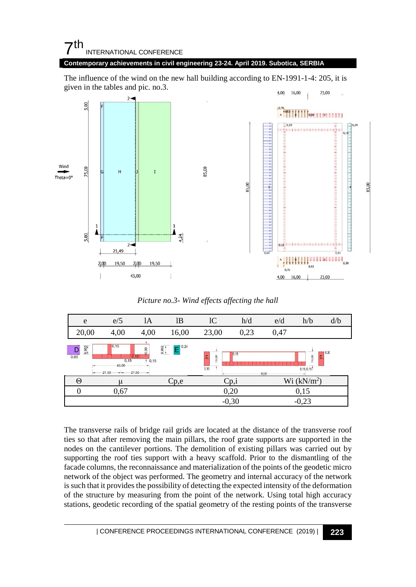## $7th$ INTERNATIONAL CONFERENCE

#### **Contemporary achievements in civil engineering 23-24. April 2019. Subotica, SERBIA**

The influence of the wind on the new hall building according to EN-1991-1-4: 205, it is given in the tables and pic. no.3.



#### *Picture no.3- Wind effects affecting the hall*

| e             | e/5                                                                                                                                                                                        | 1A   | lB    | 1 <sup>C</sup>                       | h/d  | e/d  | h/b     | d/b |
|---------------|--------------------------------------------------------------------------------------------------------------------------------------------------------------------------------------------|------|-------|--------------------------------------|------|------|---------|-----|
| 20,00         | 4,00                                                                                                                                                                                       | 4,00 | 16,00 | 23,00                                | 0,23 | 0,47 |         |     |
| 9.962<br>0,60 | 0,15<br>$-10,24$<br>9,962<br>10,00<br>10,30<br>0.15<br>$\overline{c}$<br>0,15<br>10,00<br>10,00<br>C<br>0,15<br>$^{4}$ 0,15<br>43,00<br>0,30<br>0.15 0.15<br>21,50<br>21,50<br>--<br>85,00 |      |       |                                      |      |      |         |     |
| $\Theta$      | μ                                                                                                                                                                                          |      | Cp,e  | Wi (kN/m <sup>2</sup> )<br>$C_{p,i}$ |      |      |         |     |
|               | 0,67                                                                                                                                                                                       |      |       | 0,20                                 |      |      | 0,15    |     |
|               |                                                                                                                                                                                            |      |       | $-0,30$                              |      |      | $-0,23$ |     |

The transverse rails of bridge rail grids are located at the distance of the transverse roof ties so that after removing the main pillars, the roof grate supports are supported in the nodes on the cantilever portions. The demolition of existing pillars was carried out by supporting the roof ties support with a heavy scaffold. Prior to the dismantling of the facade columns, the reconnaissance and materialization of the points of the geodetic micro network of the object was performed. The geometry and internal accuracy of the network is such that it provides the possibility of detecting the expected intensity of the deformation of the structure by measuring from the point of the network. Using total high accuracy stations, geodetic recording of the spatial geometry of the resting points of the transverse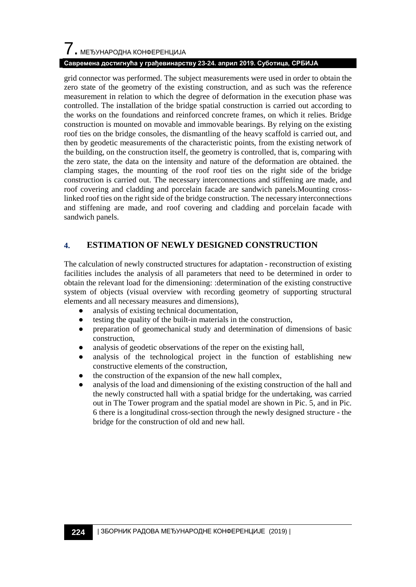# $\overline{\phantom{a}}$ . МЕЂУНАРОДНА КОНФЕРЕНЦИЈА

#### **Савремена достигнућа у грађевинарству 23-24. април 2019. Суботица, СРБИЈА**

grid connector was performed. The subject measurements were used in order to obtain the zero state of the geometry of the existing construction, and as such was the reference measurement in relation to which the degree of deformation in the execution phase was controlled. The installation of the bridge spatial construction is carried out according to the works on the foundations and reinforced concrete frames, on which it relies. Bridge construction is mounted on movable and immovable bearings. By relying on the existing roof ties on the bridge consoles, the dismantling of the heavy scaffold is carried out, and then by geodetic measurements of the characteristic points, from the existing network of the building, on the construction itself, the geometry is controlled, that is, comparing with the zero state, the data on the intensity and nature of the deformation are obtained. the clamping stages, the mounting of the roof roof ties on the right side of the bridge construction is carried out. The necessary interconnections and stiffening are made, and roof covering and cladding and porcelain facade are sandwich panels.Mounting crosslinked roof ties on the right side of the bridge construction. The necessary interconnections and stiffening are made, and roof covering and cladding and porcelain facade with sandwich panels.

## **4. ESTIMATION OF NEWLY DESIGNED CONSTRUCTION**

The calculation of newly constructed structures for adaptation - reconstruction of existing facilities includes the analysis of all parameters that need to be determined in order to obtain the relevant load for the dimensioning: :determination of the existing constructive system of objects (visual overview with recording geometry of supporting structural elements and all necessary measures and dimensions),

- analysis of existing technical documentation,
- testing the quality of the built-in materials in the construction,
- preparation of geomechanical study and determination of dimensions of basic construction,
- analysis of geodetic observations of the reper on the existing hall,
- analysis of the technological project in the function of establishing new constructive elements of the construction,
- the construction of the expansion of the new hall complex,
- analysis of the load and dimensioning of the existing construction of the hall and the newly constructed hall with a spatial bridge for the undertaking, was carried out in The Tower program and the spatial model are shown in Pic. 5, and in Pic. 6 there is a longitudinal cross-section through the newly designed structure - the bridge for the construction of old and new hall.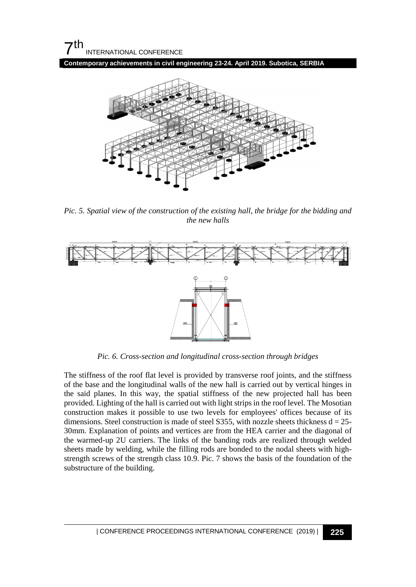$7<sup>th</sup>$ INTERNATIONAL CONFERENCE

**Contemporary achievements in civil engineering 23-24. April 2019. Subotica, SERBIA**



*Pic. 5. Spatial view of the construction of the existing hall, the bridge for the bidding and the new halls*



*Pic. 6. Cross-section and longitudinal cross-section through bridges*

The stiffness of the roof flat level is provided by transverse roof joints, and the stiffness of the base and the longitudinal walls of the new hall is carried out by vertical hinges in the said planes. In this way, the spatial stiffness of the new projected hall has been provided. Lighting of the hall is carried out with light strips in the roof level. The Mosotian construction makes it possible to use two levels for employees' offices because of its dimensions. Steel construction is made of steel S355, with nozzle sheets thickness  $d = 25$ -30mm. Explanation of points and vertices are from the HEA carrier and the diagonal of the warmed-up 2U carriers. The links of the banding rods are realized through welded sheets made by welding, while the filling rods are bonded to the nodal sheets with highstrength screws of the strength class 10.9. Pic. 7 shows the basis of the foundation of the substructure of the building.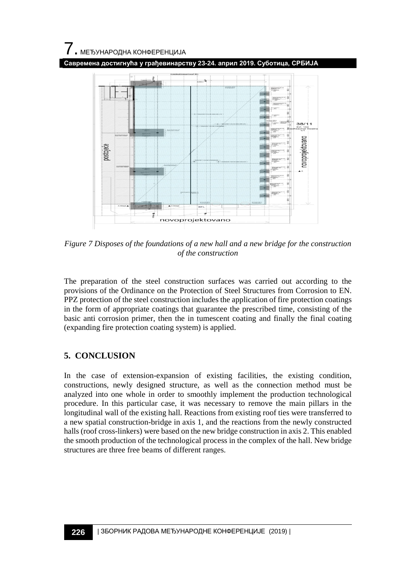# $\overline{\phantom{a}}$ . МЕЂУНАРОДНА КОНФЕРЕНЦИЈА

**Савремена достигнућа у грађевинарству 23-24. април 2019. Суботица, СРБИЈА**



*Figure 7 Disposes of the foundations of a new hall and a new bridge for the construction of the construction*

The preparation of the steel construction surfaces was carried out according to the provisions of the Ordinance on the Protection of Steel Structures from Corrosion to EN. PPZ protection of the steel construction includes the application of fire protection coatings in the form of appropriate coatings that guarantee the prescribed time, consisting of the basic anti corrosion primer, then the in tumescent coating and finally the final coating (expanding fire protection coating system) is applied.

## **5. CONCLUSION**

In the case of extension-expansion of existing facilities, the existing condition, constructions, newly designed structure, as well as the connection method must be analyzed into one whole in order to smoothly implement the production technological procedure. In this particular case, it was necessary to remove the main pillars in the longitudinal wall of the existing hall. Reactions from existing roof ties were transferred to a new spatial construction-bridge in axis 1, and the reactions from the newly constructed halls (roof cross-linkers) were based on the new bridge construction in axis 2. This enabled the smooth production of the technological process in the complex of the hall. New bridge structures are three free beams of different ranges.